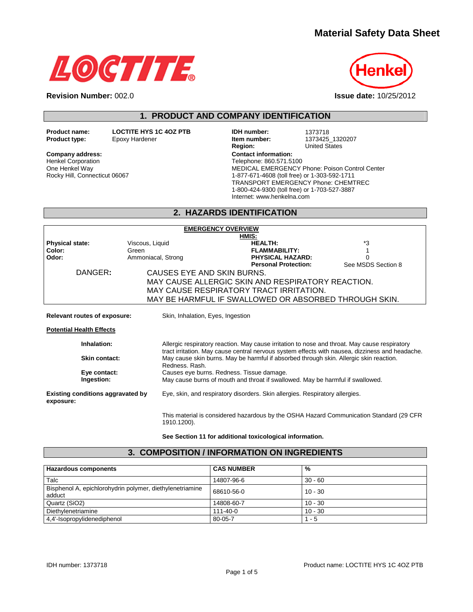# **Material Safety Data Sheet**





**Revision Number:** 002.0 **Issue date:** 10/25/2012

**1. PRODUCT AND COMPANY IDENTIFICATION** 

Henkel Corporation One Henkel Way Rocky Hill, Connecticut 06067

**Product name: LOCTITE HYS 1C 4OZ PTB IDH number:** 1373718<br>**Product type:** Epoxy Hardener **IDE 1873425 Product type:** Epoxy Hardener **Item number:** 1373425\_1320207 **Region:** United States Company address: **Company address: Company address: Contact information:** Telephone: 860.571.5100 MEDICAL EMERGENCY Phone: Poison Control Center 1-877-671-4608 (toll free) or 1-303-592-1711 TRANSPORT EMERGENCY Phone: CHEMTREC 1-800-424-9300 (toll free) or 1-703-527-3887 Internet: www.henkelna.com

# **2. HAZARDS IDENTIFICATION**

| <b>EMERGENCY OVERVIEW</b>                             |                                   |                                                                                                                                                                                           |                    |  |
|-------------------------------------------------------|-----------------------------------|-------------------------------------------------------------------------------------------------------------------------------------------------------------------------------------------|--------------------|--|
|                                                       |                                   | HMIS:                                                                                                                                                                                     |                    |  |
| <b>Physical state:</b>                                | Viscous, Liquid                   | <b>HEALTH:</b>                                                                                                                                                                            | *3                 |  |
| Color:                                                | Green                             | <b>FLAMMABILITY:</b>                                                                                                                                                                      |                    |  |
| Odor:                                                 | Ammoniacal, Strong                | PHYSICAL HAZARD:                                                                                                                                                                          |                    |  |
|                                                       |                                   | <b>Personal Protection:</b>                                                                                                                                                               | See MSDS Section 8 |  |
| DANGER:                                               | CAUSES EYE AND SKIN BURNS.        |                                                                                                                                                                                           |                    |  |
|                                                       |                                   | MAY CAUSE ALLERGIC SKIN AND RESPIRATORY REACTION.                                                                                                                                         |                    |  |
| MAY CAUSE RESPIRATORY TRACT IRRITATION.               |                                   |                                                                                                                                                                                           |                    |  |
| MAY BE HARMFUL IF SWALLOWED OR ABSORBED THROUGH SKIN. |                                   |                                                                                                                                                                                           |                    |  |
|                                                       |                                   |                                                                                                                                                                                           |                    |  |
| Relevant routes of exposure:                          | Skin, Inhalation, Eyes, Ingestion |                                                                                                                                                                                           |                    |  |
| <b>Potential Health Effects</b>                       |                                   |                                                                                                                                                                                           |                    |  |
| Inhalation:                                           |                                   | Allergic respiratory reaction. May cause irritation to nose and throat. May cause respiratory                                                                                             |                    |  |
| Skin contact:                                         | Redness, Rash.                    | tract irritation. May cause central nervous system effects with nausea, dizziness and headache.<br>May cause skin burns. May be harmful if absorbed through skin. Allergic skin reaction. |                    |  |
| Eye contact:                                          |                                   | Causes eye burns. Redness. Tissue damage.                                                                                                                                                 |                    |  |
| Ingestion:                                            |                                   | May cause burns of mouth and throat if swallowed. May be harmful if swallowed.                                                                                                            |                    |  |
| Existing conditions aggravated by<br>exposure:        |                                   | Eye, skin, and respiratory disorders. Skin allergies. Respiratory allergies.                                                                                                              |                    |  |
|                                                       | 1910.1200).                       | This material is considered hazardous by the OSHA Hazard Communication Standard (29 CFR                                                                                                   |                    |  |

**See Section 11 for additional toxicological information.** 

**3. COMPOSITION / INFORMATION ON INGREDIENTS** 

| 3. COMPOSITION / INFORMATION ON INGREDIENTS                        |                   |           |  |
|--------------------------------------------------------------------|-------------------|-----------|--|
|                                                                    |                   |           |  |
| <b>Hazardous components</b>                                        | <b>CAS NUMBER</b> | %         |  |
| Talc                                                               | 14807-96-6        | $30 - 60$ |  |
| Bisphenol A, epichlorohydrin polymer, diethylenetriamine<br>adduct | 68610-56-0        | $10 - 30$ |  |
| Quartz (SiO2)                                                      | 14808-60-7        | $10 - 30$ |  |
| Diethylenetriamine                                                 | 111-40-0          | $10 - 30$ |  |

4,4'-Isopropylidenediphenol 80-05-7 1 - 5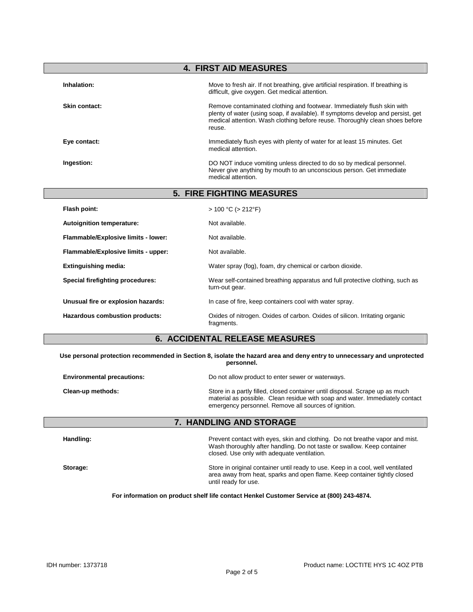|                                     | <b>4. FIRST AID MEASURES</b>                                                                                                                                                                                                                         |
|-------------------------------------|------------------------------------------------------------------------------------------------------------------------------------------------------------------------------------------------------------------------------------------------------|
| Inhalation:                         | Move to fresh air. If not breathing, give artificial respiration. If breathing is<br>difficult, give oxygen. Get medical attention.                                                                                                                  |
| Skin contact:                       | Remove contaminated clothing and footwear. Immediately flush skin with<br>plenty of water (using soap, if available). If symptoms develop and persist, get<br>medical attention. Wash clothing before reuse. Thoroughly clean shoes before<br>reuse. |
| Eye contact:                        | Immediately flush eyes with plenty of water for at least 15 minutes. Get<br>medical attention.                                                                                                                                                       |
| Ingestion:                          | DO NOT induce vomiting unless directed to do so by medical personnel.<br>Never give anything by mouth to an unconscious person. Get immediate<br>medical attention.                                                                                  |
|                                     | 5. FIRE FIGHTING MEASURES                                                                                                                                                                                                                            |
| Flash point:                        | $> 100 °C$ ( $> 212 °F$ )                                                                                                                                                                                                                            |
| Autoignition temperature:           | Not available.                                                                                                                                                                                                                                       |
| Flammable/Explosive limits - lower: | Not available.                                                                                                                                                                                                                                       |
| Flammable/Explosive limits - upper: | Not available.                                                                                                                                                                                                                                       |
| <b>Extinguishing media:</b>         | Water spray (fog), foam, dry chemical or carbon dioxide.                                                                                                                                                                                             |
| Special firefighting procedures:    | Wear self-contained breathing apparatus and full protective clothing, such as<br>turn-out gear.                                                                                                                                                      |
| Unusual fire or explosion hazards:  | In case of fire, keep containers cool with water spray.                                                                                                                                                                                              |
| Hazardous combustion products:      | Oxides of nitrogen. Oxides of carbon. Oxides of silicon. Irritating organic<br>fragments.                                                                                                                                                            |

## **6. ACCIDENTAL RELEASE MEASURES**

**Use personal protection recommended in Section 8, isolate the hazard area and deny entry to unnecessary and unprotected personnel.** 

| <b>Environmental precautions:</b> | Do not allow product to enter sewer or waterways.                                                                                                                                                                    |
|-----------------------------------|----------------------------------------------------------------------------------------------------------------------------------------------------------------------------------------------------------------------|
| Clean-up methods:                 | Store in a partly filled, closed container until disposal. Scrape up as much<br>material as possible. Clean residue with soap and water. Immediately contact<br>emergency personnel. Remove all sources of ignition. |

# **7. HANDLING AND STORAGE**

| Handling: | Prevent contact with eyes, skin and clothing. Do not breathe vapor and mist.<br>Wash thoroughly after handling. Do not taste or swallow. Keep container<br>closed. Use only with adequate ventilation. |
|-----------|--------------------------------------------------------------------------------------------------------------------------------------------------------------------------------------------------------|
| Storage:  | Store in original container until ready to use. Keep in a cool, well ventilated<br>area away from heat, sparks and open flame. Keep container tightly closed<br>until ready for use.                   |

**For information on product shelf life contact Henkel Customer Service at (800) 243-4874.**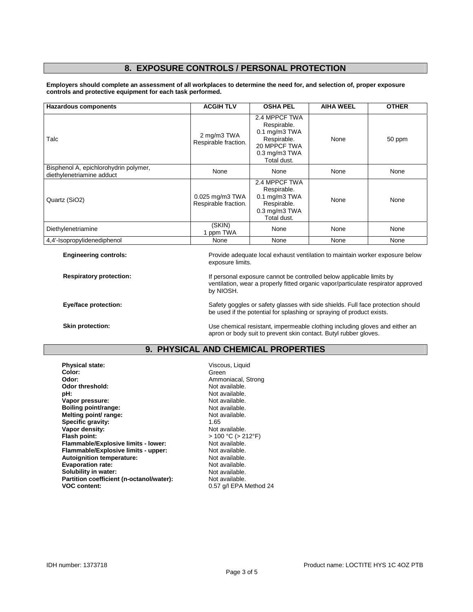## **8. EXPOSURE CONTROLS / PERSONAL PROTECTION**

**Employers should complete an assessment of all workplaces to determine the need for, and selection of, proper exposure controls and protective equipment for each task performed.** 

| <b>Hazardous components</b>                                        | <b>ACGIH TLV</b>                          | <b>OSHA PEL</b>                                                                                                             | <b>AIHA WEEL</b> | <b>OTHER</b> |
|--------------------------------------------------------------------|-------------------------------------------|-----------------------------------------------------------------------------------------------------------------------------|------------------|--------------|
| Talc                                                               | 2 mg/m3 TWA<br>Respirable fraction.       | 2.4 MPPCF TWA<br>Respirable.<br>$0.1$ mg/m $3$ TWA<br>Respirable.<br>20 MPPCF TWA<br>$0.3 \text{ mg/m}3$ TWA<br>Total dust. | None             | 50 ppm       |
| Bisphenol A, epichlorohydrin polymer,<br>diethylenetriamine adduct | None                                      | None                                                                                                                        | None             | None         |
| Quartz (SiO2)                                                      | $0.025$ mg/m3 TWA<br>Respirable fraction. | 2.4 MPPCF TWA<br>Respirable.<br>$0.1$ mg/m $3$ TWA<br>Respirable.<br>$0.3$ mg/m $3$ TWA<br>Total dust.                      | None             | None         |
| Diethylenetriamine                                                 | (SKIN)<br>1 ppm TWA                       | None                                                                                                                        | None             | None         |
| 4,4'-Isopropylidenediphenol                                        | None                                      | None                                                                                                                        | None             | None         |

**Engineering controls:** Provide adequate local exhaust ventilation to maintain worker exposure below exposure limits.

**Respiratory protection:** If personal exposure cannot be controlled below applicable limits by ventilation, wear a properly fitted organic vapor/particulate respirator approved by NIOSH.

**Eye/face protection: Safety goggles or safety glasses with side shields. Full face protection should in the system of the system of the system of the system of the system of the system of the system of the system of the** be used if the potential for splashing or spraying of product exists.

**Skin protection: Skin protection: We chemical resistant, impermeable clothing including gloves and either an** apron or body suit to prevent skin contact. Butyl rubber gloves.

## **9. PHYSICAL AND CHEMICAL PROPERTIES**

**Physical state: Physical state: Viscous, Liquid Color: Color: Color: Physical state: Color: Color: Color: Color: Color: Color: Color: Color: Color: Color: Color: Color: Color: Color: Color:** Green **Odor: Ammoniacal, Strong**<br> **Odor threshold: Ammoniacal, Strong**<br> **A** Not available. Odor threshold:<br>pH: **Vapor pressure:** Not available. **Boiling point/range: Not available.**<br> **Melting point/ range: Not available.** Not available. **Melting point/ range:** Not available. Not a Not available. Not a Not available. Not a Not available. Not a Not a<br> **Specific gravity:** 1.65 **Specific gravity:**  $\begin{array}{ccc} \bullet & \bullet & \bullet & \bullet \\ \textbf{Vapor density:} & \bullet & \bullet & \bullet \end{array}$  Mot available. **Vapor density: Flash point: Flash point: Flash point:**  $> 100 °C$  (> 212°F)<br> **Flammable/Explosive limits - lower:** Not available. **Flammable/Explosive limits - lower:** Not available.<br> **Flammable/Explosive limits - upper:** Not available. **Flammable/Explosive limits - upper:** Not available.<br> **Autoignition temperature:** Not available. **Autoignition temperature: Evaporation rate: Not available.**<br> **Solubility in water: Not available.** Not available. **Solubility in water: Not available.**<br> **Partition coefficient (n-octanol/water):** Not available. Partition coefficient (n-octanol/water):<br>VOC content:

Not available.<br>Not available. 0.57 g/l EPA Method 24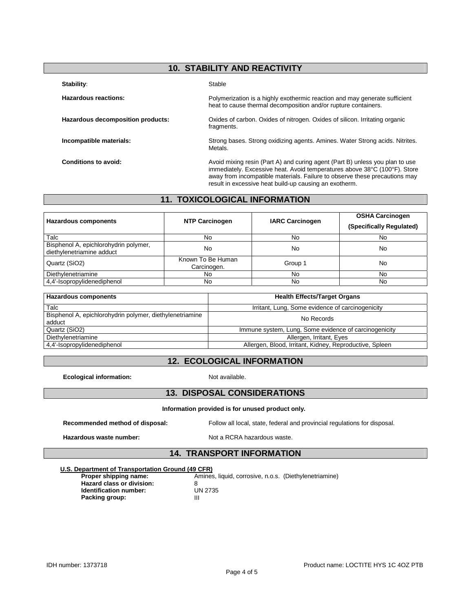# **10. STABILITY AND REACTIVITY**

#### Stability: Stable

| <b>Hazardous reactions:</b>       | Polymerization is a highly exothermic reaction and may generate sufficient<br>heat to cause thermal decomposition and/or rupture containers.                                                                                                                                                      |
|-----------------------------------|---------------------------------------------------------------------------------------------------------------------------------------------------------------------------------------------------------------------------------------------------------------------------------------------------|
| Hazardous decomposition products: | Oxides of carbon. Oxides of nitrogen. Oxides of silicon. Irritating organic<br>fragments.                                                                                                                                                                                                         |
| Incompatible materials:           | Strong bases. Strong oxidizing agents. Amines. Water Strong acids. Nitrites.<br>Metals.                                                                                                                                                                                                           |
| Conditions to avoid:              | Avoid mixing resin (Part A) and curing agent (Part B) unless you plan to use<br>immediately. Excessive heat. Avoid temperatures above 38°C (100°F). Store<br>away from incompatible materials. Failure to observe these precautions may<br>result in excessive heat build-up causing an exotherm. |

## **11. TOXICOLOGICAL INFORMATION**

| <b>Hazardous components</b>                                        | <b>NTP Carcinogen</b>            | <b>IARC Carcinogen</b>              | <b>OSHA Carcinogen</b><br>(Specifically Regulated) |
|--------------------------------------------------------------------|----------------------------------|-------------------------------------|----------------------------------------------------|
| Talc                                                               | No                               | No                                  | No                                                 |
| Bisphenol A, epichlorohydrin polymer,<br>diethylenetriamine adduct | No                               | No                                  | No                                                 |
| Quartz (SiO2)                                                      | Known To Be Human<br>Carcinogen. | Group 1                             | No                                                 |
| Diethylenetriamine                                                 | No                               | No                                  | No                                                 |
| 4,4'-Isopropylidenediphenol                                        | No                               | No                                  | No                                                 |
| <b>Hazardous components</b>                                        |                                  | <b>Health Effects/Target Organs</b> |                                                    |

| Talc                                                               | Irritant, Lung, Some evidence of carcinogenicity        |
|--------------------------------------------------------------------|---------------------------------------------------------|
| Bisphenol A, epichlorohydrin polymer, diethylenetriamine<br>adduct | No Records                                              |
| Quartz (SiO2)                                                      | Immune system, Lung, Some evidence of carcinogenicity   |
| Diethylenetriamine                                                 | Allergen, Irritant, Eyes                                |
| 4,4'-Isopropylidenediphenol                                        | Allergen, Blood, Irritant, Kidney, Reproductive, Spleen |
|                                                                    |                                                         |

# **12. ECOLOGICAL INFORMATION**

**Ecological information:** Not available.

### **13. DISPOSAL CONSIDERATIONS**

#### **Information provided is for unused product only.**

**Recommended method of disposal:** Follow all local, state, federal and provincial regulations for disposal.

Hazardous waste number: Not a RCRA hazardous waste.

# **14. TRANSPORT INFORMATION**

#### **U.S. Department of Transportation Ground (49 CFR)**

**Hazard class or division:** 8<br> **Identification number:** UN 2735 **Identification number:** UN<br> **Packing group:** III **Packing group:** 

**Proper shipping name:** Amines, liquid, corrosive, n.o.s. (Diethylenetriamine)<br> **Hazard class or division:** 8